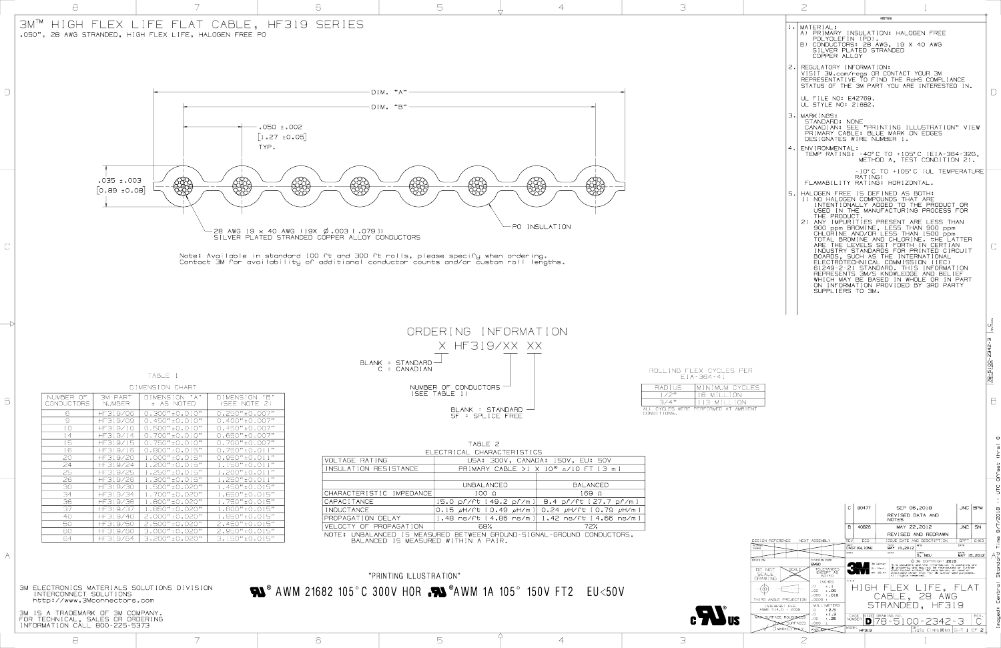3M ELECTRONICS MATERIALS SOLUTIONS DIVISION INTERCONNECT SOLUTIONS http://www.3Mconnectors.com



3M IS A TRADEMARK OF 3M COMPANY. FOR TECHNICAL, SALES OR ORDERING INFORMATION CALL 800-225-5373

## "PRINTING ILLUSTRATION"  $\bullet$  AWM 21682 105°C 300V HOR  $\bullet$  AWM 1A 105° 150V FT2 EU<50V

TABLE 2 ELECTRICAL CHARACTERISTICS VOLTAGE RATING USA: 300V, CANADA: 150V, EU: 50V

|                                                                                                              | UU. UUU YI U. U. U. U. U. LUU YI LUU UU UU V               |                                                                                     |  |  |  |
|--------------------------------------------------------------------------------------------------------------|------------------------------------------------------------|-------------------------------------------------------------------------------------|--|--|--|
| INSULATION RESISTANCE                                                                                        | PRIMARY CABLE >1 X 10 <sup>10</sup> $\alpha$ /10 FT [3 m ] |                                                                                     |  |  |  |
|                                                                                                              |                                                            |                                                                                     |  |  |  |
|                                                                                                              | UNBALANCED                                                 | <b>BALANCED</b>                                                                     |  |  |  |
| CHARACTERISTIC IMPEDANCE                                                                                     | $100 \Omega$                                               | $169$ $\Omega$                                                                      |  |  |  |
| CAPACITANCE                                                                                                  |                                                            | 15.0 pf/ft [49.2 pf/m ]  8.4 pf/ft [27.7 pf/m ]                                     |  |  |  |
| INDUCTANCE                                                                                                   |                                                            | $\vert$ 0.15 $\mu$ H/ft [0.49 $\mu$ H/m ] $\vert$ 0.24 $\mu$ H/ft [0.79 $\mu$ H/m ] |  |  |  |
| PROPAGATION DELAY                                                                                            |                                                            | 1.48 ns/ft [4.86 ns/m]  1.42 ns/ft [4.66 ns/m]                                      |  |  |  |
| VELOCTY OF PROPAGATION                                                                                       | 68%                                                        | 72%                                                                                 |  |  |  |
| NOTE: UNBALANCED IS MEASURED BETWEEN GROUND-SIGNAL-GROUND CONDUCTORS.<br>BALANCED IS MEASURED WITHIN A PAIR. |                                                            |                                                                                     |  |  |  |

TABLE 1 DIMENSION CHART



Imaged: Central Standard Time 9/7/2018 -- UTC Offset (hrs) 6 $\infty$ 

|             | $\geq$                                                                                                                                                                                                                                                                                                                                                                                                                                                                                                                                                                                                                                                                                                                                                                                                                  |                                 |
|-------------|-------------------------------------------------------------------------------------------------------------------------------------------------------------------------------------------------------------------------------------------------------------------------------------------------------------------------------------------------------------------------------------------------------------------------------------------------------------------------------------------------------------------------------------------------------------------------------------------------------------------------------------------------------------------------------------------------------------------------------------------------------------------------------------------------------------------------|---------------------------------|
| $\lfloor$ . | <b>NOTES</b><br><b>MATERIAL:</b><br>A) PRIMARY INSULATION: HALOGEN FREE<br>POLYOLEFIN (PO).<br>B) CONDUCTORS: 28 AWG, 19 X 40 AWG<br>SILVER PLATED STRANDED<br>COPPER ALLOY                                                                                                                                                                                                                                                                                                                                                                                                                                                                                                                                                                                                                                             |                                 |
| 2.I         | REGULATORY INFORMATION:<br>VISIT 3M.com/regs OR CONTACT YOUR 3M<br>REPRESENTATIVE TO FIND THE ROHS COMPLIANCE<br>STATUS OF THE 3M PART YOU ARE INTERESTED IN.                                                                                                                                                                                                                                                                                                                                                                                                                                                                                                                                                                                                                                                           |                                 |
| З.І         | UL FILE NO: E42769.<br>UL STYLE NO: 21682.<br><b>MARK INGS:</b>                                                                                                                                                                                                                                                                                                                                                                                                                                                                                                                                                                                                                                                                                                                                                         |                                 |
|             | STANDARD: NONE<br>CANADIAN: SEE "PRINTING ILLUSTRATION" VIEW<br>PRIMARY CABLE: BLUE MARK ON EDGES<br>DESIGNATES WIRE NUMBER 1.                                                                                                                                                                                                                                                                                                                                                                                                                                                                                                                                                                                                                                                                                          |                                 |
| 4.          | ENVIRONMENTAL:<br>TEMP RATING: -40°C TO +105°C (EIA-364-32G,<br>METHOD A, TEST CONDITION 2).                                                                                                                                                                                                                                                                                                                                                                                                                                                                                                                                                                                                                                                                                                                            |                                 |
| 5.          | -10°C TO +105°C (UL TEMPERATURE<br>RATING)<br>FLAMABILITY RATING: HORIZONTAL.<br>HALOGEN FREE IS DEFINED AS BOTH:<br>NO HALOGEN COMPOUNDS THAT ARE<br>$1$ )<br>INTENTIONALLY ADDED TO THE PRODUCT OR<br>THE MANUFACTURING PROCESS FOR<br>USED<br>THE PRODUCT.<br>ANY IMPURITIES PRESENT ARE LESS THAN<br>(2)<br>900 ppm BROMINE, LESS THAN 900 ppm<br>CHLORINE AND/OR LESS THAN 1500 ppm<br>TOTAL bromine and chlorine.<br><b><i>UHE LATTER</i></b><br>ARE THE LEVELS SET FORTH<br>T N<br><b>CERTIAN</b><br>INDUSTRY STANDARDS FOR PRINTED CIRCUIT<br>BOARDS, SUCH AS THE INTERNATIONAL<br>ELECTROTECHNICAL COMMISSION<br>STANDARD.<br>61249-2-21<br>THIS<br>INFORMATION<br>REPRESENTS 3M/S KNOWLEDGE AND BELI<br>WHICH MAY BE BASED IN WHOLE OR<br>IN PART<br>ON INFORMATION PROVIDED BY 3RD PARTY<br>SUPPLIERS TO 3M. |                                 |
|             |                                                                                                                                                                                                                                                                                                                                                                                                                                                                                                                                                                                                                                                                                                                                                                                                                         | <b>C</b><br>Cusion<br>က<br>၊    |
|             |                                                                                                                                                                                                                                                                                                                                                                                                                                                                                                                                                                                                                                                                                                                                                                                                                         | 2342<br>$\mathbf{I}$<br>78-5100 |
|             |                                                                                                                                                                                                                                                                                                                                                                                                                                                                                                                                                                                                                                                                                                                                                                                                                         |                                 |
|             |                                                                                                                                                                                                                                                                                                                                                                                                                                                                                                                                                                                                                                                                                                                                                                                                                         | ω<br>lhrs                       |

**EXACLES** AMBIENT

| NUMBER OF<br>CONDUCTORS | <b>3M PART</b><br>NUMBER | DIMENSION 'A'<br>± AS NOTED        | DIMENSION 'B'<br>(SEE NOTE 2)                 |  |  |
|-------------------------|--------------------------|------------------------------------|-----------------------------------------------|--|--|
| 6                       | HF319/06                 | $0.300$ <sup>"</sup> $\pm 0.010$ " | $0.250$ " ± 0.007"                            |  |  |
| $\Theta$                | HF319/09                 | $0.450"$ ± 0.010"                  | $0.400"$ ± 0.007"                             |  |  |
| $1\circ$                | HF319/10                 | $0.500" + 0.010"$                  | $0.450$ " $\pm 0.007$ "                       |  |  |
| 14                      | HF319/14                 | $0.700"$ $\pm$ 0.010"              | $0.650'' + 0.007''$                           |  |  |
| 15                      | HF319/15                 | $0.750"$ ± 0.010"                  | $0.700" \pm 0.007"$                           |  |  |
| 16                      | HF319/16                 | $0.800$ <sup>"</sup> $\pm 0.015$ " | $0.750$ <sup>v</sup> ± 0.011 <sup>v</sup>     |  |  |
| 20                      | HF319/20                 | $1.000" \pm 0.015"$                | $0.950$ <sup>v</sup> ± 0.011 <sup>v</sup>     |  |  |
| 24                      | HF319/24                 | $1.200"$ ± 0.015"                  | $1.150''$ $\pm$ 0.011"                        |  |  |
| 25                      | HF319/25                 | $1.250"$ ± 0.015"                  | $1.200$ <sup>v</sup> $\pm$ 0.011 <sup>v</sup> |  |  |
| 26                      | HF319/26                 | $1.300" \pm 0.015"$                | $1.250$ <sup>v</sup> $\pm$ O.011 <sup>v</sup> |  |  |
| 30                      | HF319/30                 | $1.500" \pm 0.020"$                | $1.450"$ ± 0.015"                             |  |  |
| 34                      | HF319/34                 | $1.700" \pm 0.020"$                | $1.650'' + 0.015''$                           |  |  |
| 36                      | HF319/36                 | $1.800" \pm 0.020"$                | $1.750''$ ± 0.015"                            |  |  |
| 37                      | HF319/37                 | $1.850''$ ± 0.020"                 | $1.800'' + 0.015''$                           |  |  |
| 40                      | HF319/40                 | $2.000" + 0.020"$                  | $1.950'' + 0.015''$                           |  |  |
| 50                      | HF319/50                 | $2.500" + 0.020"$                  | $2.450$ " $\pm 0.015$ "                       |  |  |
| 60                      | HF319/60                 | $3.000$ " ± 0.020"                 | $2.950" + 0.015"$                             |  |  |
| 64                      | HF319/64                 | 3.200" ±0.020"                     | $3.150$ " $\pm$ 0.015"                        |  |  |



ROLLING FLEX CYCLES PER EIA-364-41

| RADIUS.                                          | MINIMUM CYC |
|--------------------------------------------------|-------------|
| $1/2$ <sup>v</sup>                               | 18 MILLION  |
| $7/4$ <sup>v</sup>                               | 113 MILLION |
| ALL CYCLES WERE PEREORMED AT AMBI<br>CONDITIONS. |             |

A

B

**CALL**®